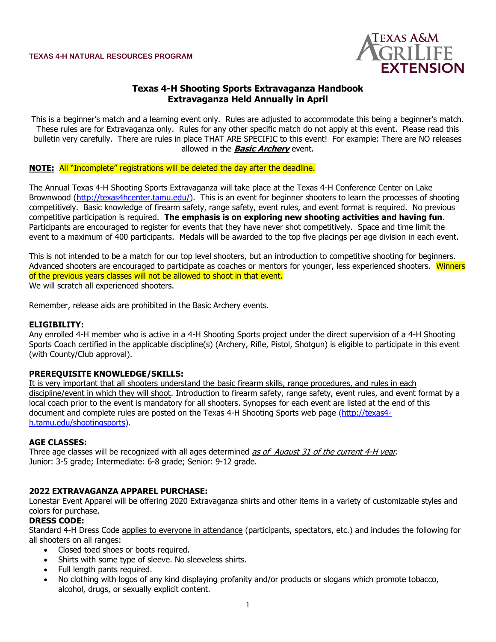

# **Texas 4-H Shooting Sports Extravaganza Handbook Extravaganza Held Annually in April**

This is a beginner's match and a learning event only. Rules are adjusted to accommodate this being a beginner's match. These rules are for Extravaganza only. Rules for any other specific match do not apply at this event. Please read this bulletin very carefully. There are rules in place THAT ARE SPECIFIC to this event! For example: There are NO releases allowed in the **Basic Archery** event.

#### **NOTE:** All "Incomplete" registrations will be deleted the day after the deadline.

The Annual Texas 4-H Shooting Sports Extravaganza will take place at the Texas 4-H Conference Center on Lake Brownwood [\(http://texas4hcenter.tamu.edu/\)](http://texas4hcenter.tamu.edu/). This is an event for beginner shooters to learn the processes of shooting competitively. Basic knowledge of firearm safety, range safety, event rules, and event format is required. No previous competitive participation is required. **The emphasis is on exploring new shooting activities and having fun**. Participants are encouraged to register for events that they have never shot competitively. Space and time limit the event to a maximum of 400 participants. Medals will be awarded to the top five placings per age division in each event.

This is not intended to be a match for our top level shooters, but an introduction to competitive shooting for beginners. Advanced shooters are encouraged to participate as coaches or mentors for younger, less experienced shooters. Winners of the previous years classes will not be allowed to shoot in that event. We will scratch all experienced shooters.

Remember, release aids are prohibited in the Basic Archery events.

#### **ELIGIBILITY:**

Any enrolled 4-H member who is active in a 4-H Shooting Sports project under the direct supervision of a 4-H Shooting Sports Coach certified in the applicable discipline(s) (Archery, Rifle, Pistol, Shotgun) is eligible to participate in this event (with County/Club approval).

#### **PREREQUISITE KNOWLEDGE/SKILLS:**

It is very important that all shooters understand the basic firearm skills, range procedures, and rules in each discipline/event in which they will shoot. Introduction to firearm safety, range safety, event rules, and event format by a local coach prior to the event is mandatory for all shooters. Synopses for each event are listed at the end of this document and complete rules are posted on the Texas 4-H Shooting Sports web page [\(http://texas4](http://texas4-h.tamu.edu/shootingsports) [h.tamu.edu/shootingsports\).](http://texas4-h.tamu.edu/shootingsports)

#### **AGE CLASSES:**

Three age classes will be recognized with all ages determined as of August 31 of the current 4-H year. Junior: 3-5 grade; Intermediate: 6-8 grade; Senior: 9-12 grade.

#### **2022 EXTRAVAGANZA APPAREL PURCHASE:**

Lonestar Event Apparel will be offering 2020 Extravaganza shirts and other items in a variety of customizable styles and colors for purchase.

#### **DRESS CODE:**

Standard 4-H Dress Code applies to everyone in attendance (participants, spectators, etc.) and includes the following for all shooters on all ranges:

- Closed toed shoes or boots required.
- Shirts with some type of sleeve. No sleeveless shirts.
- Full length pants required.
- No clothing with logos of any kind displaying profanity and/or products or slogans which promote tobacco, alcohol, drugs, or sexually explicit content.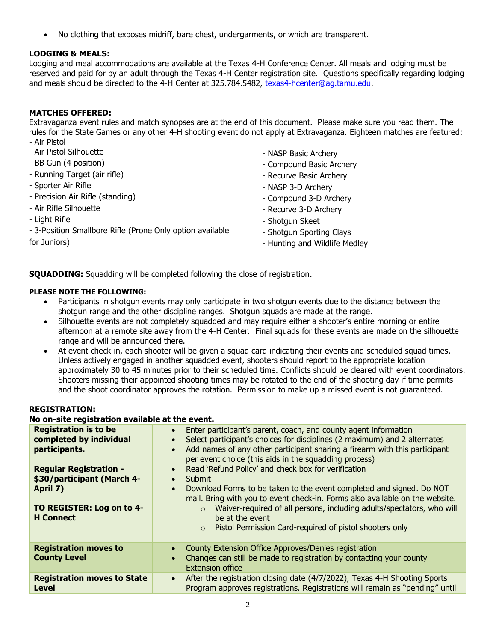• No clothing that exposes midriff, bare chest, undergarments, or which are transparent.

# **LODGING & MEALS:**

Lodging and meal accommodations are available at the Texas 4-H Conference Center. All meals and lodging must be reserved and paid for by an adult through the Texas 4-H Center registration site. Questions specifically regarding lodging and meals should be directed to the 4-H Center at 325.784.5482, [texas4-hcenter@ag.tamu.edu.](mailto:texas4-hcenter@ag.tamu.edu)

# **MATCHES OFFERED:**

Extravaganza event rules and match synopses are at the end of this document. Please make sure you read them. The rules for the State Games or any other 4-H shooting event do not apply at Extravaganza. Eighteen matches are featured: - Air Pistol

- Air Pistol Silhouette
- BB Gun (4 position)
- Running Target (air rifle)
- Sporter Air Rifle
- Precision Air Rifle (standing)
- Air Rifle Silhouette
- Light Rifle
- 3-Position Smallbore Rifle (Prone Only option available
- NASP Basic Archery
- Compound Basic Archery
- Recurve Basic Archery
- NASP 3-D Archery
- Compound 3-D Archery
- Recurve 3-D Archery
- Shotgun Skeet
- Shotgun Sporting Clays
- Hunting and Wildlife Medley

for Juniors)

**SQUADDING:** Squadding will be completed following the close of registration.

#### **PLEASE NOTE THE FOLLOWING:**

- Participants in shotgun events may only participate in two shotgun events due to the distance between the shotgun range and the other discipline ranges. Shotgun squads are made at the range.
- Silhouette events are not completely squadded and may require either a shooter's entire morning or entire afternoon at a remote site away from the 4-H Center. Final squads for these events are made on the silhouette range and will be announced there.
- At event check-in, each shooter will be given a squad card indicating their events and scheduled squad times. Unless actively engaged in another squadded event, shooters should report to the appropriate location approximately 30 to 45 minutes prior to their scheduled time. Conflicts should be cleared with event coordinators. Shooters missing their appointed shooting times may be rotated to the end of the shooting day if time permits and the shoot coordinator approves the rotation. Permission to make up a missed event is not guaranteed.

#### **REGISTRATION:**

# **No on-site registration available at the event.**

| <b>Registration is to be</b><br>completed by individual<br>participants.<br><b>Regular Registration -</b><br>\$30/participant (March 4-<br>April 7)<br>TO REGISTER: Log on to 4-<br><b>H</b> Connect | Enter participant's parent, coach, and county agent information<br>$\bullet$<br>Select participant's choices for disciplines (2 maximum) and 2 alternates<br>$\bullet$<br>Add names of any other participant sharing a firearm with this participant<br>$\bullet$<br>per event choice (this aids in the squadding process)<br>Read 'Refund Policy' and check box for verification<br>$\bullet$<br><b>Submit</b><br>$\bullet$<br>Download Forms to be taken to the event completed and signed. Do NOT<br>$\bullet$<br>mail. Bring with you to event check-in. Forms also available on the website.<br>Waiver-required of all persons, including adults/spectators, who will<br>$\circ$<br>be at the event<br>Pistol Permission Card-required of pistol shooters only<br>$\circ$ |
|------------------------------------------------------------------------------------------------------------------------------------------------------------------------------------------------------|--------------------------------------------------------------------------------------------------------------------------------------------------------------------------------------------------------------------------------------------------------------------------------------------------------------------------------------------------------------------------------------------------------------------------------------------------------------------------------------------------------------------------------------------------------------------------------------------------------------------------------------------------------------------------------------------------------------------------------------------------------------------------------|
| <b>Registration moves to</b><br><b>County Level</b>                                                                                                                                                  | County Extension Office Approves/Denies registration<br>$\bullet$<br>Changes can still be made to registration by contacting your county<br>$\bullet$<br><b>Extension office</b>                                                                                                                                                                                                                                                                                                                                                                                                                                                                                                                                                                                               |
| <b>Registration moves to State</b><br><b>Level</b>                                                                                                                                                   | After the registration closing date (4/7/2022), Texas 4-H Shooting Sports<br>$\bullet$<br>Program approves registrations. Registrations will remain as "pending" until                                                                                                                                                                                                                                                                                                                                                                                                                                                                                                                                                                                                         |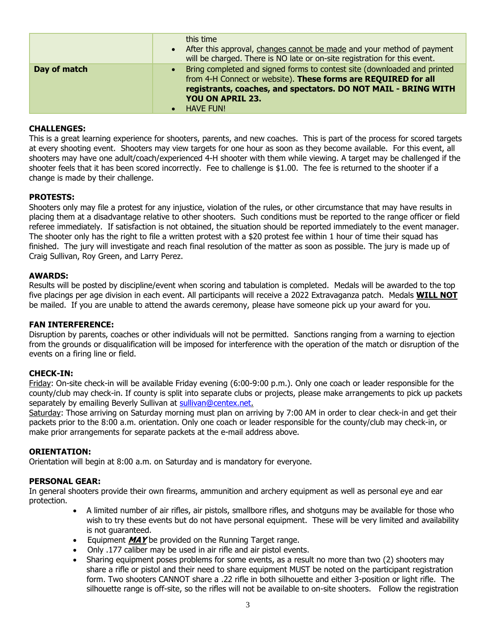|              |                        | this time<br>• After this approval, changes cannot be made and your method of payment<br>will be charged. There is NO late or on-site registration for this event.                                                                                          |
|--------------|------------------------|-------------------------------------------------------------------------------------------------------------------------------------------------------------------------------------------------------------------------------------------------------------|
| Day of match | $\bullet$<br>$\bullet$ | Bring completed and signed forms to contest site (downloaded and printed<br>from 4-H Connect or website). These forms are REQUIRED for all<br>registrants, coaches, and spectators. DO NOT MAIL - BRING WITH<br><b>YOU ON APRIL 23.</b><br><b>HAVE FUN!</b> |

## **CHALLENGES:**

This is a great learning experience for shooters, parents, and new coaches. This is part of the process for scored targets at every shooting event. Shooters may view targets for one hour as soon as they become available. For this event, all shooters may have one adult/coach/experienced 4-H shooter with them while viewing. A target may be challenged if the shooter feels that it has been scored incorrectly. Fee to challenge is \$1.00. The fee is returned to the shooter if a change is made by their challenge.

## **PROTESTS:**

Shooters only may file a protest for any injustice, violation of the rules, or other circumstance that may have results in placing them at a disadvantage relative to other shooters. Such conditions must be reported to the range officer or field referee immediately. If satisfaction is not obtained, the situation should be reported immediately to the event manager. The shooter only has the right to file a written protest with a \$20 protest fee within 1 hour of time their squad has finished. The jury will investigate and reach final resolution of the matter as soon as possible. The jury is made up of Craig Sullivan, Roy Green, and Larry Perez.

## **AWARDS:**

Results will be posted by discipline/event when scoring and tabulation is completed. Medals will be awarded to the top five placings per age division in each event. All participants will receive a 2022 Extravaganza patch. Medals **WILL NOT** be mailed. If you are unable to attend the awards ceremony, please have someone pick up your award for you.

## **FAN INTERFERENCE:**

Disruption by parents, coaches or other individuals will not be permitted. Sanctions ranging from a warning to ejection from the grounds or disqualification will be imposed for interference with the operation of the match or disruption of the events on a firing line or field.

## **CHECK-IN:**

Friday: On-site check-in will be available Friday evening (6:00-9:00 p.m.). Only one coach or leader responsible for the county/club may check-in. If county is split into separate clubs or projects, please make arrangements to pick up packets separately by emailing Beverly Sullivan at [sullivan@centex.net.](mailto:sullivan@centex.net)

Saturday: Those arriving on Saturday morning must plan on arriving by 7:00 AM in order to clear check-in and get their packets prior to the 8:00 a.m. orientation. Only one coach or leader responsible for the county/club may check-in, or make prior arrangements for separate packets at the e-mail address above.

## **ORIENTATION:**

Orientation will begin at 8:00 a.m. on Saturday and is mandatory for everyone.

# **PERSONAL GEAR:**

In general shooters provide their own firearms, ammunition and archery equipment as well as personal eye and ear protection.

- A limited number of air rifles, air pistols, smallbore rifles, and shotguns may be available for those who wish to try these events but do not have personal equipment. These will be very limited and availability is not guaranteed.
- Equipment **MAY** be provided on the Running Target range.
- Only .177 caliber may be used in air rifle and air pistol events.
- Sharing equipment poses problems for some events, as a result no more than two (2) shooters may share a rifle or pistol and their need to share equipment MUST be noted on the participant registration form. Two shooters CANNOT share a .22 rifle in both silhouette and either 3-position or light rifle. The silhouette range is off-site, so the rifles will not be available to on-site shooters. Follow the registration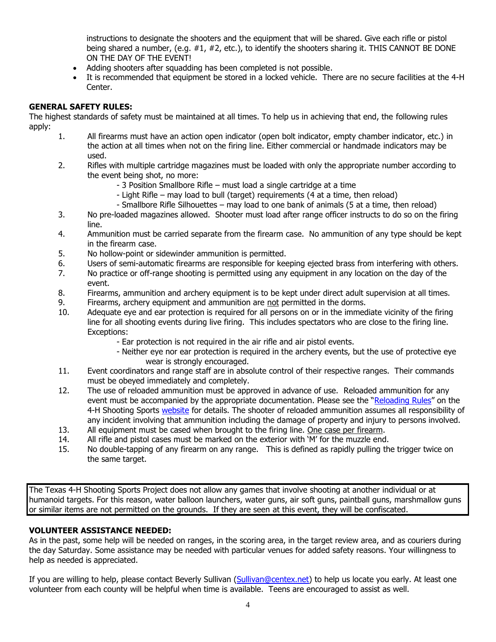instructions to designate the shooters and the equipment that will be shared. Give each rifle or pistol being shared a number, (e.g. #1, #2, etc.), to identify the shooters sharing it. THIS CANNOT BE DONE ON THE DAY OF THE EVENT!

- Adding shooters after squadding has been completed is not possible.
- It is recommended that equipment be stored in a locked vehicle. There are no secure facilities at the 4-H Center.

## **GENERAL SAFETY RULES:**

The highest standards of safety must be maintained at all times. To help us in achieving that end, the following rules apply:

- 1. All firearms must have an action open indicator (open bolt indicator, empty chamber indicator, etc.) in the action at all times when not on the firing line. Either commercial or handmade indicators may be used.
- 2. Rifles with multiple cartridge magazines must be loaded with only the appropriate number according to the event being shot, no more:
	- 3 Position Smallbore Rifle must load a single cartridge at a time
	- Light Rifle may load to bull (target) requirements (4 at a time, then reload)
	- Smallbore Rifle Silhouettes may load to one bank of animals (5 at a time, then reload)
- 3. No pre-loaded magazines allowed. Shooter must load after range officer instructs to do so on the firing line.
- 4. Ammunition must be carried separate from the firearm case. No ammunition of any type should be kept in the firearm case.
- 5. No hollow-point or sidewinder ammunition is permitted.
- 6. Users of semi-automatic firearms are responsible for keeping ejected brass from interfering with others.
- 7. No practice or off-range shooting is permitted using any equipment in any location on the day of the event.
- 8. Firearms, ammunition and archery equipment is to be kept under direct adult supervision at all times.
- 9. Firearms, archery equipment and ammunition are not permitted in the dorms.
- 10. Adequate eye and ear protection is required for all persons on or in the immediate vicinity of the firing line for all shooting events during live firing. This includes spectators who are close to the firing line. Exceptions:
	- Ear protection is not required in the air rifle and air pistol events.
	- Neither eye nor ear protection is required in the archery events, but the use of protective eye wear is strongly encouraged.
- 11. Event coordinators and range staff are in absolute control of their respective ranges. Their commands must be obeyed immediately and completely.
- 12. The use of reloaded ammunition must be approved in advance of use. Reloaded ammunition for any event must be accompanied by the appropriate documentation. Please see the "[Reloading Rules](http://texas4-h.tamu.edu/files/2013/10/nat_res_ss_rules_reloading_13.pdf)" on the 4-H Shooting Sports [website](http://texas4-h.tamu.edu/shootingsports) for details. The shooter of reloaded ammunition assumes all responsibility of any incident involving that ammunition including the damage of property and injury to persons involved.
- 13. All equipment must be cased when brought to the firing line. One case per firearm.
- 14. All rifle and pistol cases must be marked on the exterior with 'M' for the muzzle end.
- 15. No double-tapping of any firearm on any range. This is defined as rapidly pulling the trigger twice on the same target.

The Texas 4-H Shooting Sports Project does not allow any games that involve shooting at another individual or at humanoid targets. For this reason, water balloon launchers, water guns, air soft guns, paintball guns, marshmallow guns or similar items are not permitted on the grounds. If they are seen at this event, they will be confiscated.

## **VOLUNTEER ASSISTANCE NEEDED:**

As in the past, some help will be needed on ranges, in the scoring area, in the target review area, and as couriers during the day Saturday. Some assistance may be needed with particular venues for added safety reasons. Your willingness to help as needed is appreciated.

If you are willing to help, please contact Beverly Sullivan [\(Sullivan@centex.net\)](mailto:Sullivan@centex.net) to help us locate you early. At least one volunteer from each county will be helpful when time is available. Teens are encouraged to assist as well.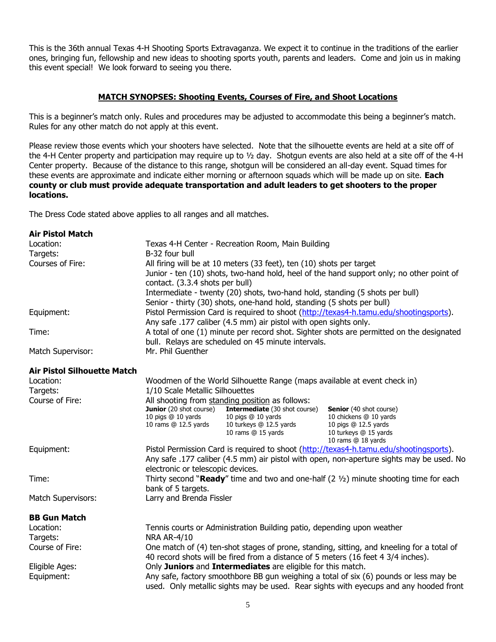This is the 36th annual Texas 4-H Shooting Sports Extravaganza. We expect it to continue in the traditions of the earlier ones, bringing fun, fellowship and new ideas to shooting sports youth, parents and leaders. Come and join us in making this event special! We look forward to seeing you there.

## **MATCH SYNOPSES: Shooting Events, Courses of Fire, and Shoot Locations**

This is a beginner's match only. Rules and procedures may be adjusted to accommodate this being a beginner's match. Rules for any other match do not apply at this event.

Please review those events which your shooters have selected. Note that the silhouette events are held at a site off of the 4-H Center property and participation may require up to ½ day. Shotgun events are also held at a site off of the 4-H Center property. Because of the distance to this range, shotgun will be considered an all-day event. Squad times for these events are approximate and indicate either morning or afternoon squads which will be made up on site. **Each county or club must provide adequate transportation and adult leaders to get shooters to the proper locations.**

The Dress Code stated above applies to all ranges and all matches.

| <b>Air Pistol Match</b>            |                                                                                          |                                                                              |                                                                                                 |
|------------------------------------|------------------------------------------------------------------------------------------|------------------------------------------------------------------------------|-------------------------------------------------------------------------------------------------|
| Location:                          |                                                                                          | Texas 4-H Center - Recreation Room, Main Building                            |                                                                                                 |
| Targets:                           | B-32 four bull                                                                           |                                                                              |                                                                                                 |
| Courses of Fire:                   |                                                                                          | All firing will be at 10 meters (33 feet), ten (10) shots per target         |                                                                                                 |
|                                    |                                                                                          |                                                                              | Junior - ten (10) shots, two-hand hold, heel of the hand support only; no other point of        |
|                                    | contact. (3.3.4 shots per bull)                                                          |                                                                              |                                                                                                 |
|                                    |                                                                                          | Intermediate - twenty (20) shots, two-hand hold, standing (5 shots per bull) |                                                                                                 |
|                                    |                                                                                          | Senior - thirty (30) shots, one-hand hold, standing (5 shots per bull)       |                                                                                                 |
| Equipment:                         |                                                                                          |                                                                              | Pistol Permission Card is required to shoot (http://texas4-h.tamu.edu/shootingsports).          |
|                                    |                                                                                          | Any safe .177 caliber (4.5 mm) air pistol with open sights only.             |                                                                                                 |
| Time:                              |                                                                                          |                                                                              | A total of one (1) minute per record shot. Sighter shots are permitted on the designated        |
|                                    |                                                                                          | bull. Relays are scheduled on 45 minute intervals.                           |                                                                                                 |
| Match Supervisor:                  | Mr. Phil Guenther                                                                        |                                                                              |                                                                                                 |
| <b>Air Pistol Silhouette Match</b> |                                                                                          |                                                                              |                                                                                                 |
| Location:                          |                                                                                          | Woodmen of the World Silhouette Range (maps available at event check in)     |                                                                                                 |
| Targets:                           | 1/10 Scale Metallic Silhouettes                                                          |                                                                              |                                                                                                 |
| Course of Fire:                    |                                                                                          | All shooting from standing position as follows:                              |                                                                                                 |
|                                    | <b>Junior</b> (20 shot course)                                                           | <b>Intermediate</b> (30 shot course)                                         | <b>Senior</b> (40 shot course)                                                                  |
|                                    | 10 pigs @ 10 yards<br>10 rams @ 12.5 yards                                               | 10 pigs @ 10 yards<br>10 turkeys @ 12.5 yards                                | 10 chickens @ 10 yards<br>10 pigs @ 12.5 yards                                                  |
|                                    |                                                                                          | 10 rams @ 15 yards                                                           | 10 turkeys @ 15 yards                                                                           |
|                                    |                                                                                          |                                                                              | 10 rams @ 18 yards                                                                              |
| Equipment:                         |                                                                                          |                                                                              | Pistol Permission Card is required to shoot (http://texas4-h.tamu.edu/shootingsports).          |
|                                    | Any safe .177 caliber (4.5 mm) air pistol with open, non-aperture sights may be used. No |                                                                              |                                                                                                 |
|                                    | electronic or telescopic devices.                                                        |                                                                              |                                                                                                 |
| Time:                              |                                                                                          |                                                                              | Thirty second "Ready" time and two and one-half $(2 \frac{1}{2})$ minute shooting time for each |
|                                    | bank of 5 targets.                                                                       |                                                                              |                                                                                                 |
| Match Supervisors:                 | Larry and Brenda Fissler                                                                 |                                                                              |                                                                                                 |
| <b>BB Gun Match</b>                |                                                                                          |                                                                              |                                                                                                 |
| Location:                          |                                                                                          | Tennis courts or Administration Building patio, depending upon weather       |                                                                                                 |
| Targets:                           | <b>NRA AR-4/10</b>                                                                       |                                                                              |                                                                                                 |
| Course of Fire:                    |                                                                                          |                                                                              | One match of (4) ten-shot stages of prone, standing, sitting, and kneeling for a total of       |
|                                    |                                                                                          |                                                                              | 40 record shots will be fired from a distance of 5 meters (16 feet 4 3/4 inches).               |
| Eligible Ages:                     |                                                                                          | Only Juniors and Intermediates are eligible for this match.                  |                                                                                                 |
| Equipment:                         |                                                                                          |                                                                              | Any safe, factory smoothbore BB gun weighing a total of six (6) pounds or less may be           |
|                                    |                                                                                          |                                                                              | used. Only metallic sights may be used. Rear sights with eyecups and any hooded front           |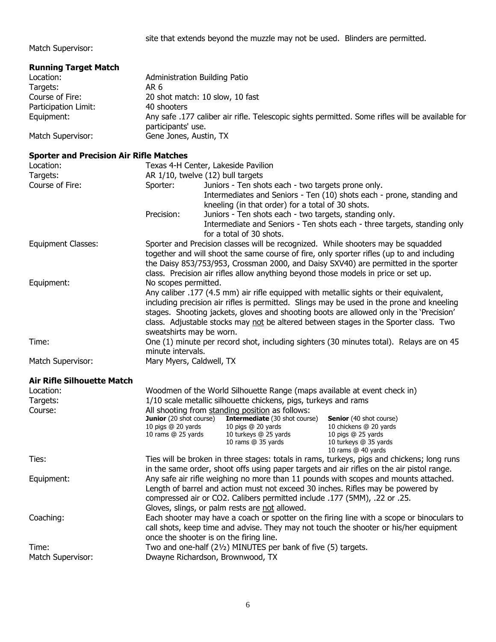site that extends beyond the muzzle may not be used. Blinders are permitted.

Match Supervisor:

| <b>Running Target Match</b>                    |                                      |                                                                                        |                                                                                                 |
|------------------------------------------------|--------------------------------------|----------------------------------------------------------------------------------------|-------------------------------------------------------------------------------------------------|
| Location:                                      | <b>Administration Building Patio</b> |                                                                                        |                                                                                                 |
| Targets:                                       | AR <sub>6</sub>                      |                                                                                        |                                                                                                 |
| Course of Fire:                                |                                      | 20 shot match: 10 slow, 10 fast                                                        |                                                                                                 |
| Participation Limit:                           | 40 shooters                          |                                                                                        |                                                                                                 |
| Equipment:                                     | participants' use.                   |                                                                                        | Any safe .177 caliber air rifle. Telescopic sights permitted. Some rifles will be available for |
| Match Supervisor:                              | Gene Jones, Austin, TX               |                                                                                        |                                                                                                 |
| <b>Sporter and Precision Air Rifle Matches</b> |                                      |                                                                                        |                                                                                                 |
| Location:                                      |                                      | Texas 4-H Center, Lakeside Pavilion                                                    |                                                                                                 |
| Targets:                                       |                                      | AR 1/10, twelve (12) bull targets                                                      |                                                                                                 |
| Course of Fire:                                | Sporter:                             | Juniors - Ten shots each - two targets prone only.                                     |                                                                                                 |
|                                                |                                      |                                                                                        | Intermediates and Seniors - Ten (10) shots each - prone, standing and                           |
|                                                |                                      | kneeling (in that order) for a total of 30 shots.                                      |                                                                                                 |
|                                                | Precision:                           | Juniors - Ten shots each - two targets, standing only.                                 |                                                                                                 |
|                                                |                                      | for a total of 30 shots.                                                               | Intermediate and Seniors - Ten shots each - three targets, standing only                        |
| <b>Equipment Classes:</b>                      |                                      | Sporter and Precision classes will be recognized. While shooters may be squadded       |                                                                                                 |
|                                                |                                      |                                                                                        | together and will shoot the same course of fire, only sporter rifles (up to and including       |
|                                                |                                      |                                                                                        | the Daisy 853/753/953, Crossman 2000, and Daisy SXV40) are permitted in the sporter             |
|                                                |                                      | class. Precision air rifles allow anything beyond those models in price or set up.     |                                                                                                 |
| Equipment:                                     | No scopes permitted.                 |                                                                                        |                                                                                                 |
|                                                |                                      | Any caliber .177 (4.5 mm) air rifle equipped with metallic sights or their equivalent, |                                                                                                 |
|                                                |                                      |                                                                                        | including precision air rifles is permitted. Slings may be used in the prone and kneeling       |
|                                                |                                      |                                                                                        | stages. Shooting jackets, gloves and shooting boots are allowed only in the 'Precision'         |
|                                                |                                      |                                                                                        | class. Adjustable stocks may not be altered between stages in the Sporter class. Two            |
|                                                | sweatshirts may be worn.             |                                                                                        |                                                                                                 |
| Time:                                          |                                      |                                                                                        | One (1) minute per record shot, including sighters (30 minutes total). Relays are on 45         |
|                                                | minute intervals.                    |                                                                                        |                                                                                                 |
| Match Supervisor:                              | Mary Myers, Caldwell, TX             |                                                                                        |                                                                                                 |
| <b>Air Rifle Silhouette Match</b>              |                                      |                                                                                        |                                                                                                 |
| Location:                                      |                                      | Woodmen of the World Silhouette Range (maps available at event check in)               |                                                                                                 |
| Targets:                                       |                                      | 1/10 scale metallic silhouette chickens, pigs, turkeys and rams                        |                                                                                                 |
| Course:                                        |                                      | All shooting from standing position as follows:                                        |                                                                                                 |
|                                                | <b>Junior</b> (20 shot course)       | Intermediate (30 shot course)                                                          | <b>Senior</b> (40 shot course)                                                                  |
|                                                |                                      | 10 pigs @ 20 yards 10 pigs @ 20 yards                                                  | 10 chickens @ 20 yards                                                                          |
|                                                | 10 rams @ 25 yards                   | 10 turkeys @ 25 yards<br>10 rams @ 35 yards                                            | 10 pigs @ 25 yards<br>10 turkeys @ 35 yards                                                     |
|                                                |                                      |                                                                                        | 10 rams @ 40 yards                                                                              |
| Ties:                                          |                                      |                                                                                        | Ties will be broken in three stages: totals in rams, turkeys, pigs and chickens; long runs      |
|                                                |                                      |                                                                                        | in the same order, shoot offs using paper targets and air rifles on the air pistol range.       |
| Equipment:                                     |                                      |                                                                                        | Any safe air rifle weighing no more than 11 pounds with scopes and mounts attached.             |
|                                                |                                      | Length of barrel and action must not exceed 30 inches. Rifles may be powered by        |                                                                                                 |
|                                                |                                      | compressed air or CO2. Calibers permitted include .177 (5MM), .22 or .25.              |                                                                                                 |
|                                                |                                      | Gloves, slings, or palm rests are not allowed.                                         |                                                                                                 |
| Coaching:                                      |                                      |                                                                                        | Each shooter may have a coach or spotter on the firing line with a scope or binoculars to       |
|                                                |                                      |                                                                                        | call shots, keep time and advise. They may not touch the shooter or his/her equipment           |
|                                                |                                      | once the shooter is on the firing line.                                                |                                                                                                 |
| Time:                                          |                                      | Two and one-half (21/2) MINUTES per bank of five (5) targets.                          |                                                                                                 |
| Match Supervisor:                              |                                      | Dwayne Richardson, Brownwood, TX                                                       |                                                                                                 |
|                                                |                                      |                                                                                        |                                                                                                 |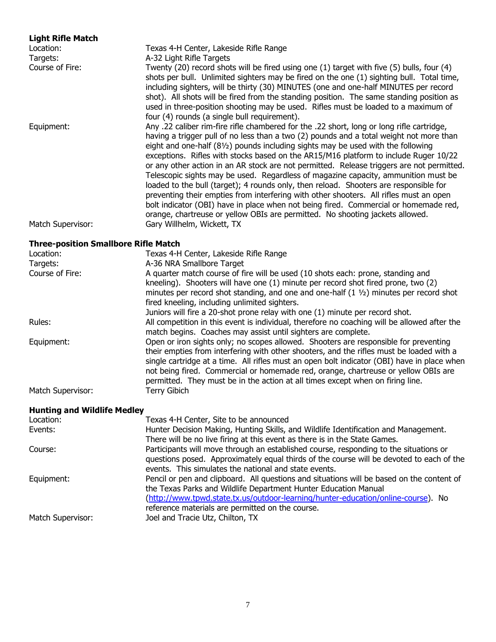# **Light Rifle Match** Location: Texas 4-H Center, Lakeside Rifle Range Targets: A-32 Light Rifle Targets Course of Fire: Twenty (20) record shots will be fired using one (1) target with five (5) bulls, four (4) shots per bull. Unlimited sighters may be fired on the one (1) sighting bull. Total time, including sighters, will be thirty (30) MINUTES (one and one-half MINUTES per record shot). All shots will be fired from the standing position. The same standing position as used in three-position shooting may be used. Rifles must be loaded to a maximum of four (4) rounds (a single bull requirement). Equipment: Any .22 caliber rim-fire rifle chambered for the .22 short, long or long rifle cartridge, having a trigger pull of no less than a two (2) pounds and a total weight not more than eight and one-half (8½) pounds including sights may be used with the following exceptions. Rifles with stocks based on the AR15/M16 platform to include Ruger 10/22 or any other action in an AR stock are not permitted. Release triggers are not permitted. Telescopic sights may be used. Regardless of magazine capacity, ammunition must be loaded to the bull (target); 4 rounds only, then reload. Shooters are responsible for preventing their empties from interfering with other shooters.All rifles must an open bolt indicator (OBI) have in place when not being fired. Commercial or homemade red, orange, chartreuse or yellow OBIs are permitted. No shooting jackets allowed. Match Supervisor: Gary Willhelm, Wickett, TX **Three-position Smallbore Rifle Match** Location: Texas 4-H Center, Lakeside Rifle Range Targets: **A-36 NRA Smallbore Target**

| Targets:          | A-36 NRA Smallbore Target                                                                     |
|-------------------|-----------------------------------------------------------------------------------------------|
| Course of Fire:   | A quarter match course of fire will be used (10 shots each: prone, standing and               |
|                   | kneeling). Shooters will have one (1) minute per record shot fired prone, two (2)             |
|                   | minutes per record shot standing, and one and one-half $(1 \, \nu_2)$ minutes per record shot |
|                   | fired kneeling, including unlimited sighters.                                                 |
|                   | Juniors will fire a 20-shot prone relay with one (1) minute per record shot.                  |
| Rules:            | All competition in this event is individual, therefore no coaching will be allowed after the  |
|                   | match begins. Coaches may assist until sighters are complete.                                 |
| Equipment:        | Open or iron sights only; no scopes allowed. Shooters are responsible for preventing          |
|                   | their empties from interfering with other shooters, and the rifles must be loaded with a      |
|                   | single cartridge at a time. All rifles must an open bolt indicator (OBI) have in place when   |
|                   | not being fired. Commercial or homemade red, orange, chartreuse or yellow OBIs are            |
|                   | permitted. They must be in the action at all times except when on firing line.                |
| Match Supervisor: | Terry Gibich                                                                                  |
|                   |                                                                                               |

## **Hunting and Wildlife Medley**

| Location:         | Texas 4-H Center, Site to be announced                                                                                                                       |
|-------------------|--------------------------------------------------------------------------------------------------------------------------------------------------------------|
| Events:           | Hunter Decision Making, Hunting Skills, and Wildlife Identification and Management.                                                                          |
|                   | There will be no live firing at this event as there is in the State Games.                                                                                   |
| Course:           | Participants will move through an established course, responding to the situations or                                                                        |
|                   | questions posed. Approximately equal thirds of the course will be devoted to each of the<br>events. This simulates the national and state events.            |
| Equipment:        | Pencil or pen and clipboard. All questions and situations will be based on the content of<br>the Texas Parks and Wildlife Department Hunter Education Manual |
|                   | (http://www.tpwd.state.tx.us/outdoor-learning/hunter-education/online-course). No<br>reference materials are permitted on the course.                        |
| Match Supervisor: | Joel and Tracie Utz, Chilton, TX                                                                                                                             |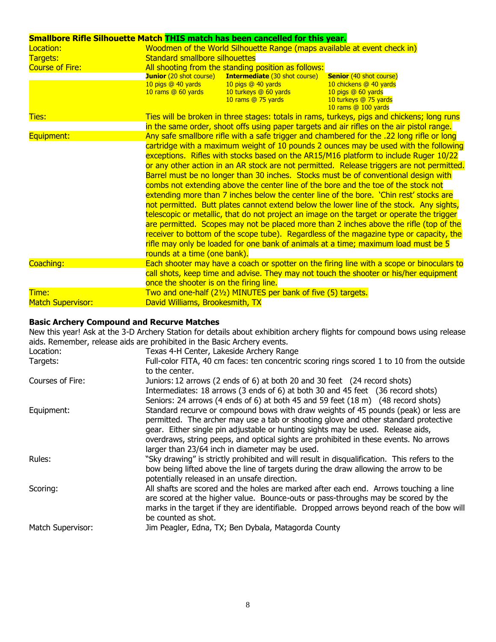| Smallbore Rifle Silhouette Match THIS match has been cancelled for this year. |                                                                            |                                                                                                           |                                                                                                                                                                                                                                                                                                                                                                                                                                                                                                                                                                                                                                                                                                                                                                                                                                                                                                                                                                                                                          |
|-------------------------------------------------------------------------------|----------------------------------------------------------------------------|-----------------------------------------------------------------------------------------------------------|--------------------------------------------------------------------------------------------------------------------------------------------------------------------------------------------------------------------------------------------------------------------------------------------------------------------------------------------------------------------------------------------------------------------------------------------------------------------------------------------------------------------------------------------------------------------------------------------------------------------------------------------------------------------------------------------------------------------------------------------------------------------------------------------------------------------------------------------------------------------------------------------------------------------------------------------------------------------------------------------------------------------------|
| Location:                                                                     |                                                                            | Woodmen of the World Silhouette Range (maps available at event check in)                                  |                                                                                                                                                                                                                                                                                                                                                                                                                                                                                                                                                                                                                                                                                                                                                                                                                                                                                                                                                                                                                          |
| Targets:                                                                      | <b>Standard smallbore silhouettes</b>                                      |                                                                                                           |                                                                                                                                                                                                                                                                                                                                                                                                                                                                                                                                                                                                                                                                                                                                                                                                                                                                                                                                                                                                                          |
| <b>Course of Fire:</b>                                                        | All shooting from the standing position as follows:                        |                                                                                                           |                                                                                                                                                                                                                                                                                                                                                                                                                                                                                                                                                                                                                                                                                                                                                                                                                                                                                                                                                                                                                          |
|                                                                               | <b>Junior</b> (20 shot course)<br>10 pigs @ 40 yards<br>10 rams @ 60 yards | <b>Intermediate (30 shot course)</b><br>10 pigs @ 40 yards<br>10 turkeys @ 60 yards<br>10 rams @ 75 yards | <b>Senior</b> (40 shot course)<br>10 chickens @ 40 yards<br>10 pigs @ 60 yards<br>10 turkeys @ 75 yards<br>10 rams @ 100 yards                                                                                                                                                                                                                                                                                                                                                                                                                                                                                                                                                                                                                                                                                                                                                                                                                                                                                           |
| <b>Ties:</b>                                                                  |                                                                            |                                                                                                           | Ties will be broken in three stages: totals in rams, turkeys, pigs and chickens; long runs                                                                                                                                                                                                                                                                                                                                                                                                                                                                                                                                                                                                                                                                                                                                                                                                                                                                                                                               |
| Equipment:                                                                    |                                                                            |                                                                                                           | in the same order, shoot offs using paper targets and air rifles on the air pistol range.<br>Any safe smallbore rifle with a safe trigger and chambered for the .22 long rifle or long<br>cartridge with a maximum weight of 10 pounds 2 ounces may be used with the following                                                                                                                                                                                                                                                                                                                                                                                                                                                                                                                                                                                                                                                                                                                                           |
|                                                                               | rounds at a time (one bank).                                               |                                                                                                           | exceptions. Rifles with stocks based on the AR15/M16 platform to include Ruger 10/22<br>or any other action in an AR stock are not permitted. Release triggers are not permitted.<br>Barrel must be no longer than 30 inches. Stocks must be of conventional design with<br>combs not extending above the center line of the bore and the toe of the stock not<br>extending more than 7 inches below the center line of the bore. 'Chin rest' stocks are<br>not permitted. Butt plates cannot extend below the lower line of the stock. Any sights,<br>telescopic or metallic, that do not project an image on the target or operate the trigger<br>are permitted. Scopes may not be placed more than 2 inches above the rifle (top of the<br>receiver to bottom of the scope tube). Regardless of the magazine type or capacity, the<br>rifle may only be loaded for one bank of animals at a time; maximum load must be 5<br>Each shooter may have a coach or spotter on the firing line with a scope or binoculars to |
| Coaching:                                                                     | once the shooter is on the firing line.                                    |                                                                                                           | call shots, keep time and advise. They may not touch the shooter or his/her equipment                                                                                                                                                                                                                                                                                                                                                                                                                                                                                                                                                                                                                                                                                                                                                                                                                                                                                                                                    |
| Time:<br><b>Match Supervisor:</b>                                             | David Williams, Brookesmith, TX                                            | Two and one-half (21/2) MINUTES per bank of five (5) targets.                                             |                                                                                                                                                                                                                                                                                                                                                                                                                                                                                                                                                                                                                                                                                                                                                                                                                                                                                                                                                                                                                          |

#### **Basic Archery Compound and Recurve Matches**

New this year! Ask at the 3-D Archery Station for details about exhibition archery flights for compound bows using release aids. Remember, release aids are prohibited in the Basic Archery events.

| Location:         | Texas 4-H Center, Lakeside Archery Range                                                                                                                                                                                                                                                                                                                                                                  |
|-------------------|-----------------------------------------------------------------------------------------------------------------------------------------------------------------------------------------------------------------------------------------------------------------------------------------------------------------------------------------------------------------------------------------------------------|
| Targets:          | Full-color FITA, 40 cm faces: ten concentric scoring rings scored 1 to 10 from the outside<br>to the center.                                                                                                                                                                                                                                                                                              |
| Courses of Fire:  | Juniors: 12 arrows (2 ends of 6) at both 20 and 30 feet (24 record shots)<br>Intermediates: 18 arrows (3 ends of 6) at both 30 and 45 feet (36 record shots)<br>Seniors: 24 arrows (4 ends of 6) at both 45 and 59 feet (18 m) (48 record shots)                                                                                                                                                          |
| Equipment:        | Standard recurve or compound bows with draw weights of 45 pounds (peak) or less are<br>permitted. The archer may use a tab or shooting glove and other standard protective<br>gear. Either single pin adjustable or hunting sights may be used. Release aids,<br>overdraws, string peeps, and optical sights are prohibited in these events. No arrows<br>larger than 23/64 inch in diameter may be used. |
| Rules:            | "Sky drawing" is strictly prohibited and will result in disqualification. This refers to the<br>bow being lifted above the line of targets during the draw allowing the arrow to be<br>potentially released in an unsafe direction.                                                                                                                                                                       |
| Scoring:          | All shafts are scored and the holes are marked after each end. Arrows touching a line<br>are scored at the higher value. Bounce-outs or pass-throughs may be scored by the<br>marks in the target if they are identifiable. Dropped arrows beyond reach of the bow will<br>be counted as shot.                                                                                                            |
| Match Supervisor: | Jim Peagler, Edna, TX; Ben Dybala, Matagorda County                                                                                                                                                                                                                                                                                                                                                       |